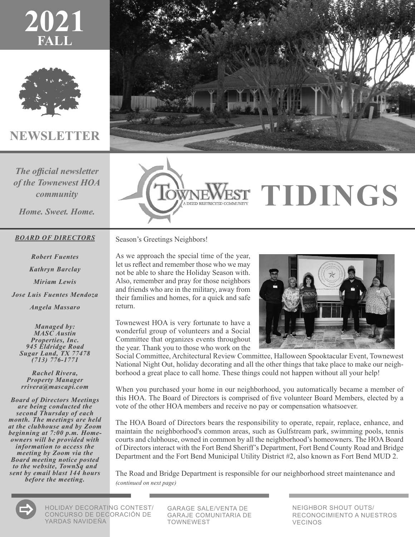



#### **NEWSLETTER**

*The official newsletter of the Townewest HOA community*

*Home. Sweet. Home.*

#### *BOARD OF DIRECTORS*

*Robert Fuentes Kathryn Barclay Miriam Lewis Jose Luis Fuentes Mendoza Angela Massaro*

*Managed by: MASC Austin Properties, Inc. <sup>945</sup> Eldridge Road Sugar Land, TX 77478 (713) 776-1771*

*Rachel Rivera, Property Manager rrivera@mascapi.com*

*Board of Directors Meetings are being conducted the second Thursday of each month. The meetings are held at the clubhouse and by Zoom beginning at 7:00 p.m. Home- owners will be provided with information to access the meeting by Zoom via the Board meeting notice posted to the website, TownSq and sent by email blast 144 hours before the meeting.*





# **EST TIDINGS**

Season's Greetings Neighbors!

As we approach the special time of the year, let us reflect and remember those who we may not be able to share the Holiday Season with. Also, remember and pray for those neighbors and friends who are in the military, away from their families and homes, for a quick and safe return.

Townewest HOA is very fortunate to have a wonderful group of volunteers and a Social Committee that organizes events throughout the year. Thank you to those who work on the



Social Committee, Architectural Review Committee, Halloween Spooktacular Event, Townewest National Night Out, holiday decorating and all the other things that take place to make our neighborhood a great place to call home. These things could not happen without all your help!

When you purchased your home in our neighborhood, you automatically became a member of this HOA. The Board of Directors is comprised of five volunteer Board Members, elected by a vote of the other HOA members and receive no pay or compensation whatsoever.

The HOA Board of Directors bears the responsibility to operate, repair, replace, enhance, and maintain the neighborhood's common areas, such as Gulfstream park, swimming pools, tennis courts and clubhouse, owned in common by all the neighborhood's homeowners. The HOA Board of Directors interact with the Fort Bend Sheriff's Department, Fort Bend County Road and Bridge Department and the Fort Bend Municipal Utility District #2, also known as Fort Bend MUD 2.

The Road and Bridge Department is responsible for our neighborhood street maintenance and *(continued on next page)*



HOLIDAY DECORATING CONTEST/ CONCURSO DE DECORACIÓN DE YARDAS NAVIDEÑA

GARAGE SALE/VENTA DE GARAJE COMUNITARIA DE TOWNEWEST

NEIGHBOR SHOUT OUTS/ RECONOCIMIENTO A NUESTROS VECINOS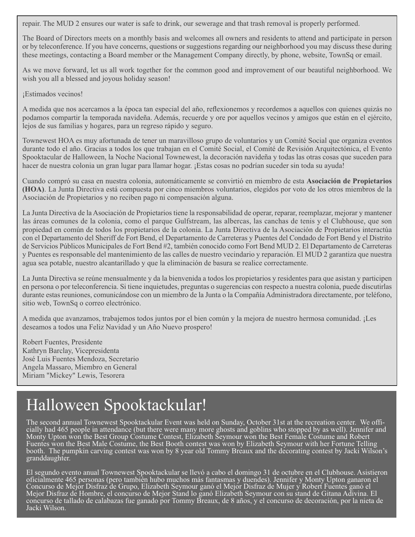repair. The MUD 2 ensures our water is safe to drink, our sewerage and that trash removal is properly performed.

The Board of Directors meets on a monthly basis and welcomes all owners and residents to attend and participate in person or by teleconference. If you have concerns, questions or suggestions regarding our neighborhood you may discuss these during these meetings, contacting a Board member or the Management Company directly, by phone, website, TownSq or email.

As we move forward, let us all work together for the common good and improvement of our beautiful neighborhood. We wish you all a blessed and joyous holiday season!

¡Estimados vecinos!

A medida que nos acercamos a la época tan especial del año, reflexionemos y recordemos a aquellos con quienes quizás no podamos compartir la temporada navideña. Además, recuerde y ore por aquellos vecinos y amigos que están en el ejército, lejos de sus familias y hogares, para un regreso rápido y seguro.

Townewest HOA es muy afortunada de tener un maravilloso grupo de voluntarios y un Comité Social que organiza eventos durante todo el año. Gracias a todos los que trabajan en el Comité Social, el Comité de Revisión Arquitectónica, el Evento Spooktacular de Halloween, la Noche Nacional Townewest, la decoración navideña y todas las otras cosas que suceden para hacer de nuestra colonia un gran lugar para llamar hogar. ¡Estas cosas no podrían suceder sin toda su ayuda!

Cuando compró su casa en nuestra colonia, automáticamente se convirtió en miembro de esta **Asociación de Propietarios (HOA)**. La Junta Directiva está compuesta por cinco miembros voluntarios, elegidos por voto de los otros miembros de la Asociación de Propietarios y no reciben pago ni compensación alguna.

La Junta Directiva de la Asociación de Propietarios tiene la responsabilidad de operar, reparar, reemplazar, mejorar y mantener las áreas comunes de la colonia, como el parque Gulfstream, las albercas, las canchas de tenis y el Clubhouse, que son propiedad en común de todos los propietarios de la colonia. La Junta Directiva de la Asociación de Propietarios interactúa con el Departamento del Sheriff de Fort Bend, el Departamento de Carreteras y Puentes del Condado de Fort Bend y el Distrito de Servicios Públicos Municipales de Fort Bend #2, también conocido como Fort Bend MUD 2. El Departamento de Carreteras y Puentes es responsable del mantenimiento de las calles de nuestro vecindario y reparación. El MUD 2 garantiza que nuestra agua sea potable, nuestro alcantarillado y que la eliminación de basura se realice correctamente.

La Junta Directiva se reúne mensualmente y da la bienvenida a todos los propietarios y residentes para que asistan y participen en persona o por teleconferencia. Si tiene inquietudes, preguntas o sugerencias con respecto a nuestra colonia, puede discutirlas durante estas reuniones, comunicándose con un miembro de la Junta o la Compañía Administradora directamente, por teléfono, sitio web, TownSq o correo electrónico.

A medida que avanzamos, trabajemos todos juntos por el bien común y la mejora de nuestro hermosa comunidad. ¡Les deseamos a todos una Feliz Navidad y un Año Nuevo prospero!

Robert Fuentes, Presidente Kathryn Barclay, Vicepresidenta José Luis Fuentes Mendoza, Secretario Angela Massaro, Miembro en General Miriam "Mickey" Lewis, Tesorera

# Halloween Spooktackular!

The second annual Townewest Spooktackular Event was held on Sunday, October 31st at the recreation center. We offi-<br>cially had 465 people in attendance (but there were many more ghosts and goblins who stopped by as well). Monty Upton won the Best Group Costume Contest, Elizabeth Seymour won the Best Female Costume and Robert Fuentes won the Best Male Costume, the Best Booth contest was won by Elizabeth Seymour with her Fortune Telling booth. The pumpkin carving contest was won by 8 year old Tommy Breaux and the decorating contest by Jacki Wilson's granddaughter.

El segundo evento anual Townewest Spooktackular se llevó a cabo el domingo 31 de octubre en el Clubhouse. Asistieron oficialmente 465 personas (pero también hubo muchos más fantasmas y duendes). Jennifer y Monty Upton ganaron el Concurso de Mejor Disfraz de Grupo, Elizabeth Seymour ganó el Mejor Disfraz de Mujer y Robert Fuentes ganó el Mejor Disfraz de Hombre, el concurso de Mejor Stand lo ganó Elizabeth Seymour con su stand de Gitana Adivina. El concurso de tallado de calabazas fue ganado por Tommy Breaux, de 8 años, y el concurso de decoración, por la nieta de Jacki Wilson.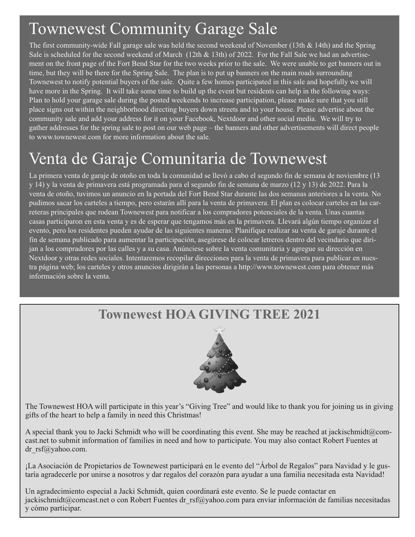# Townewest Community Garage Sale

The first community-wide Fall garage sale was held the second weekend of November (13th & 14th) and the Spring Sale is scheduled for the second weekend of March (12th  $& 13th$ ) of 2022. For the Fall Sale we had an advertisement on the front page of the Fort Bend Star for the two weeks prior to the sale. We were unable to get banners out in time, but they will be there for the Spring Sale. The plan is to put up banners on the main roads surrounding Townewest to notify potential buyers of the sale. Quite a few homes participated in this sale and hopefully we will have more in the Spring. It will take some time to build up the event but residents can help in the following ways: Plan to hold your garage sale during the posted weekends to increase participation, please make sure that you still place signs out within the neighborhood directing buyers down streets and to your house. Please advertise about the community sale and add your address for it on your Facebook, Nextdoor and other social media. We will try to gather addresses for the spring sale to post on our web page – the banners and other advertisements will direct people to www.townewest.com for more information about the sale.

# Venta de Garaje Comunitaria de Townewest

La primera venta de garaje de otoño en toda la comunidad se llevó a cabo el segundo fin de semana de noviembre (13 y 14) y la venta de primavera está programada para el segundo fin de semana de marzo (12 y 13) de 2022. Para la venta de otoño, tuvimos un anuncio en la portada del Fort Bend Star durante las dos semanas anteriores a la venta. No pudimos sacar los carteles a tiempo, pero estarán allí para la venta de primavera. El plan es colocar carteles en las carreteras principales que rodean Townewest para notificar a los compradores potenciales de la venta. Unas cuantas casas participaron en esta venta y es de esperar que tengamos más en la primavera. Llevará algún tiempo organizar el evento, pero los residentes pueden ayudar de las siguientes maneras: Planifique realizar su venta de garaje durante el fin de semana publicado para aumentar la participación, asegúrese de colocar letreros dentro del vecindario que dirijan a los compradores por las calles y a su casa. Anúnciese sobre la venta comunitaria y agregue su dirección en Nextdoor y otras redes sociales. Intentaremos recopilar direcciones para la venta de primavera para publicar en nuestra página web; los carteles y otros anuncios dirigirán a las personas a http://www.townewest.com para obtener más información sobre la venta.





The Townewest HOA will participate in this year's "Giving Tree" and would like to thank you for joining us in giving gifts of the heart to help a family in need this Christmas!

A special thank you to Jacki Schmidt who will be coordinating this event. She may be reached at jackischmidt@comcast.net to submit information of families in need and how to participate. You may also contact Robert Fuentes at dr rsf@yahoo.com.

¡La Asociación de Propietarios de Townewest participará en le evento del "Árbol de Regalos" para Navidad y le gustaría agradecerle por unirse a nosotros y dar regalos del corazón para ayudar a una familia necesitada esta Navidad!

Un agradecimiento especial a Jacki Schmidt, quien coordinará este evento. Se le puede contactar en jackischmidt@comcast.net o con Robert Fuentes dr\_rsf@yahoo.com para enviar información de familias necesitadas y cómo participar.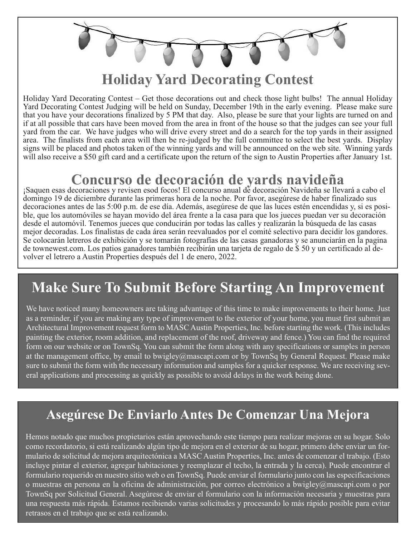**Holiday Yard Decorating Contest**

Holiday Yard Decorating Contest – Get those decorations out and check those light bulbs! The annual Holiday Yard Decorating Contest Judging will be held on Sunday, December 19th in the early evening. Please make sure that you have your decorations finalized by 5 PM that day. Also, please be sure that your lights are turned on and if at all possible that cars have been moved from the area in front of the house so that the judges can see your full yard from the car. We have judges who will drive every street and do a search for the top yards in their assigned area. The finalists from each area will then be re-judged by the full committee to select the best yards. Display signs will be placed and photos taken of the winning yards and will be announced on the web site. Winning yards will also receive a \$50 gift card and a certificate upon the return of the sign to Austin Properties after January 1st.

### **Concurso de decoración de yards navideña**

¡Saquen esas decoraciones y revisen esod focos! El concurso anual de decoración Navideña se llevará a cabo el domingo 19 de diciembre durante las primeras hora de la noche. Por favor, asegúrese de haber finalizado sus decoraciones antes de las 5:00 p.m. de ese día. Además, asegúrese de que las luces estén encendidas y, si es posible, que los automóviles se hayan movido del área frente a la casa para que los jueces puedan ver su decoración desde el automóvil. Tenemos jueces que conducirán por todas las calles y realizarán la búsqueda de las casas mejor decoradas. Los finalistas de cada área serán reevaluados por el comité selectivo para decidir los gandores. Se colocarán letreros de exhibición y se tomarán fotografías de las casas ganadoras y se anunciarán en la pagina de townewest.com. Los patios ganadores también recibirán una tarjeta de regalo de \$ 50 y un certificado al devolver el letrero a Austin Properties después del 1 de enero, 2022.

### **Make Sure To Submit Before Starting An Improvement**

We have noticed many homeowners are taking advantage of this time to make improvements to their home. Just as a reminder, if you are making any type of improvement to the exterior of your home, you must first submit an Architectural Improvement request form to MASC Austin Properties, Inc. before starting the work. (This includes painting the exterior, room addition, and replacement of the roof, driveway and fence.) You can find the required form on our website or on TownSq. You can submit the form along with any specifications or samples in person at the management office, by email to bwigley@mascapi.com or by TownSq by General Request. Please make sure to submit the form with the necessary information and samples for a quicker response. We are receiving several applications and processing as quickly as possible to avoid delays in the work being done.

### **Asegúrese De Enviarlo Antes De Comenzar Una Mejora**

Hemos notado que muchos propietarios están aprovechando este tiempo para realizar mejoras en su hogar. Solo como recordatorio, si está realizando algún tipo de mejora en el exterior de su hogar, primero debe enviar un formulario de solicitud de mejora arquitectónica a MASC Austin Properties, Inc. antes de comenzar el trabajo. (Esto incluye pintar el exterior, agregar habitaciones y reemplazar el techo, la entrada y la cerca). Puede encontrar el formulario requerido en nuestro sitio web o en TownSq. Puede enviar el formulario junto con las especificaciones o muestras en persona en la oficina de administración, por correo electrónico a bwigley@mascapi.com o por TownSq por Solicitud General. Asegúrese de enviar el formulario con la información necesaria y muestras para una respuesta más rápida. Estamos recibiendo varias solicitudes y procesando lo más rápido posible para evitar retrasos en el trabajo que se está realizando.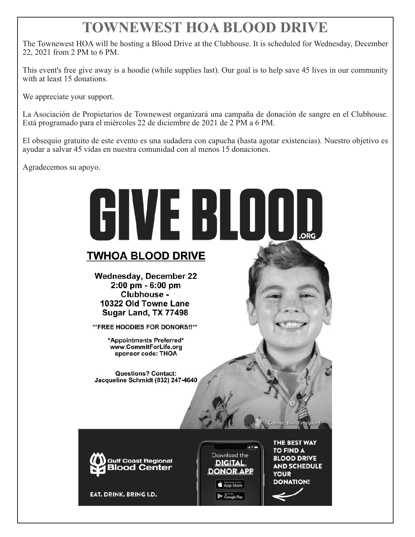# **TOWNEWEST HOA BLOOD DRIVE**

The Townewest HOA will be hosting a Blood Drive at the Clubhouse. It is scheduled for Wednesday, December 22, 2021 from 2 PM to 6 PM.

This event's free give away is a hoodie (while supplies last). Our goal is to help save 45 lives in our community with at least 15 donations.

We appreciate your support.

La Asociación de Propietarios de Townewest organizará una campaña de donación de sangre en el Clubhouse. Está programado para el miércoles 22 de diciembre de 2021 de 2 PM a 6 PM.

El obsequio gratuito de este evento es una sudadera con capucha (hasta agotar existencias). Nuestro objetivo es ayudar a salvar 45 vidas en nuestra comunidad con al menos 15 donaciones.

Agradecemos su apoyo.

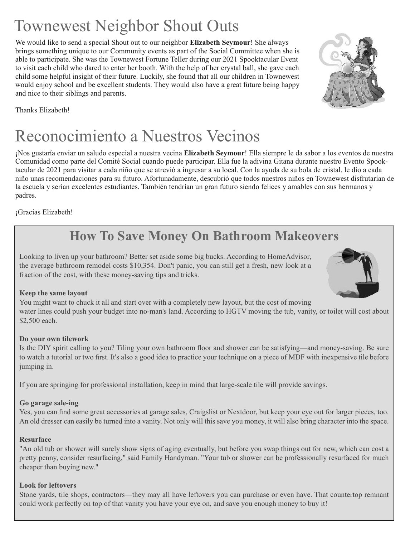# Townewest Neighbor Shout Outs

We would like to send a special Shout out to our neighbor **Elizabeth Seymour**! She always brings something unique to our Community events as part of the Social Committee when she is able to participate. She was the Townewest Fortune Teller during our 2021 Spooktacular Event to visit each child who dared to enter her booth. With the help of her crystal ball, she gave each child some helpful insight of their future. Luckily, she found that all our children in Townewest would enjoy school and be excellent students. They would also have a great future being happy and nice to their siblings and parents.



Thanks Elizabeth!

# Reconocimiento a Nuestros Vecinos

¡Nos gustaría enviar un saludo especial a nuestra vecina **Elizabeth Seymour**! Ella siempre le da sabor a los eventos de nuestra Comunidad como parte del Comité Social cuando puede participar. Ella fue la adivina Gitana durante nuestro Evento Spooktacular de 2021 para visitar a cada niño que se atrevió a ingresar a su local. Con la ayuda de su bola de cristal, le dio a cada niño unas recomendaciones para su futuro. Afortunadamente, descubrió que todos nuestros niños en Townewest disfrutarían de la escuela y serían excelentes estudiantes. También tendrían un gran futuro siendo felices y amables con sus hermanos y padres.

¡Gracias Elizabeth!

### **How To Save Money On Bathroom Makeovers**

Looking to liven up your bathroom? Better set aside some big bucks. According to HomeAdvisor, the average bathroom remodel costs \$10,354. Don't panic, you can still get a fresh, new look at a fraction of the cost, with these money-saving tips and tricks.

#### **Keep the same layout**

You might want to chuck it all and start over with a completely new layout, but the cost of moving water lines could push your budget into no-man's land. According to HGTV moving the tub, vanity, or toilet will cost about \$2,500 each.

#### **Do your own tilework**

Is the DIY spirit calling to you? Tiling your own bathroom floor and shower can be satisfying—and money-saving. Be sure to watch a tutorial or two first. It's also a good idea to practice your technique on a piece of MDF with inexpensive tile before jumping in.

If you are springing for professional installation, keep in mind that large-scale tile will provide savings.

#### **Go garage sale-ing**

Yes, you can find some great accessories at garage sales, Craigslist or Nextdoor, but keep your eye out for larger pieces, too. An old dresser can easily be turned into a vanity. Not only will this save you money, it will also bring character into the space.

#### **Resurface**

"An old tub or shower will surely show signs of aging eventually, but before you swap things out for new, which can cost a pretty penny, consider resurfacing," said Family Handyman. "Your tub or shower can be professionally resurfaced for much cheaper than buying new."

#### **Look for leftovers**

Stone yards, tile shops, contractors—they may all have leftovers you can purchase or even have. That countertop remnant could work perfectly on top of that vanity you have your eye on, and save you enough money to buy it!

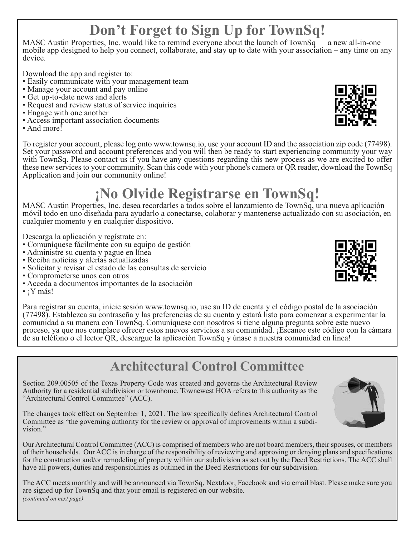#### **Don't Forget to Sign Up for TownSq! !**

MASC Austin Properties, Inc. would like to remind everyone about the launch of TownSq — a new all-in-one mobile app designed to help you connect, collaborate, and stay up to date with your association – any time on any device.

- Download the app and register to:<br>
Easily communicate with your management team<br>
Manage your account and pay online<br>
Get up-to-date news and alerts<br>
Request and review status of service inquiries<br>
Engage with one
- 
- 
- 
- 
- 
- 



To register your account, please log onto www.townsq.io, use your account ID and the association zip code (77498). Set your password and account preferences and you will then be ready to start experiencing community your way with TownSq. Please contact us if you have any questions regarding this new process as we are excited to offer these new services to your community. Scan this code with your phone's camera or QR reader, download the TownSq Application and join our community online!

# **¡No Olvide Registrarse en TownSq!**

MASC Austin Properties, Inc. desea recordarles a todos sobre el lanzamiento de TownSq, una nueva aplicación móvil todo en uno diseñada para ayudarlo a conectarse, colaborar y mantenerse actualizado con su asociación, en cualquier momento y en cualquier dispositivo.

- 
- 
- 
- Descarga la aplicación y regístrate en:<br>
Comuníquese fácilmente con su equipo de gestión<br>
Administre su cuenta y pague en línea<br>
Reciba noticias y alertas actualizadas<br>
Solicitar y revisar el estado de las consulta
- 
- 
- 

Para registrar su cuenta, inicie sesión www.townsq.io, use su ID de cuenta y el código postal de la asociación (77498). Establezca su contraseña y las preferencias de su cuenta y estará listo para comenzar a experimentar la comunidad a su manera con TownSq. Comuníquese con nosotros si tiene alguna pregunta sobre este nuevo proceso, ya que nos complace ofrecer estos nuevos servicios a su comunidad. ¡Escanee este código con la cámara de su teléfono o el lector QR, descargue la aplicación TownSq y únase a nuestra comunidad en línea!

### **Architectural Control Committee**

Section 209.00505 of the Texas Property Code was created and governs the Architectural Review Authority for a residential subdivision or townhome. Townewest HOA refers to this authority as the "Architectural Control Committee" (ACC).

The changes took effect on September 1, 2021. The law specifically defines Architectural Control Committee as "the governing authority for the review or approval of improvements within a subdivision."

Our Architectural Control Committee (ACC) is comprised of members who are not board members, their spouses, or members of their households. Our ACC is in charge of the responsibility of reviewing and approving or denying plans and specifications for the construction and/or remodeling of property within our subdivision as set out by the Deed Restrictions. The ACC shall have all powers, duties and responsibilities as outlined in the Deed Restrictions for our subdivision.

The ACC meets monthly and will be announced via TownSq, Nextdoor, Facebook and via email blast. Please make sure you are signed up for TownSq and that your email is registered on our website. *(continued on next page)*